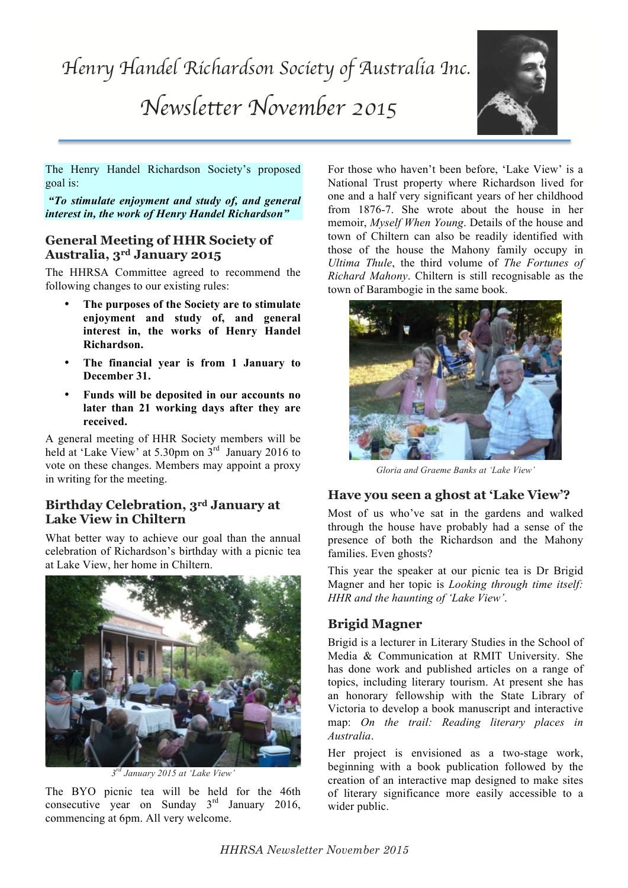

The Henry Handel Richardson Society's proposed goal is:

 *"To stimulate enjoyment and study of, and general interest in, the work of Henry Handel Richardson"*

### **General Meeting of HHR Society of Australia, 3rd January 2015**

The HHRSA Committee agreed to recommend the following changes to our existing rules:

- **The purposes of the Society are to stimulate enjoyment and study of, and general interest in, the works of Henry Handel Richardson.**
- **The financial year is from 1 January to December 31.**
- **Funds will be deposited in our accounts no later than 21 working days after they are received.**

A general meeting of HHR Society members will be held at 'Lake View' at 5.30pm on 3<sup>rd</sup> January 2016 to vote on these changes. Members may appoint a proxy in writing for the meeting.

## **Birthday Celebration, 3rd January at Lake View in Chiltern**

What better way to achieve our goal than the annual celebration of Richardson's birthday with a picnic tea at Lake View, her home in Chiltern.



*3rd January 2015 at 'Lake View'*

The BYO picnic tea will be held for the 46th consecutive year on Sunday 3<sup>rd</sup> January 2016, commencing at 6pm. All very welcome.

For those who haven't been before, 'Lake View' is a National Trust property where Richardson lived for one and a half very significant years of her childhood from 1876-7. She wrote about the house in her memoir, *Myself When Young*. Details of the house and town of Chiltern can also be readily identified with those of the house the Mahony family occupy in *Ultima Thule*, the third volume of *The Fortunes of Richard Mahony*. Chiltern is still recognisable as the town of Barambogie in the same book.



*Gloria and Graeme Banks at 'Lake View'*

## **Have you seen a ghost at 'Lake View'?**

Most of us who've sat in the gardens and walked through the house have probably had a sense of the presence of both the Richardson and the Mahony families. Even ghosts?

This year the speaker at our picnic tea is Dr Brigid Magner and her topic is *Looking through time itself: HHR and the haunting of 'Lake View'*.

### **Brigid Magner**

Brigid is a lecturer in Literary Studies in the School of Media & Communication at RMIT University. She has done work and published articles on a range of topics, including literary tourism. At present she has an honorary fellowship with the State Library of Victoria to develop a book manuscript and interactive map: *On the trail: Reading literary places in Australia*.

Her project is envisioned as a two-stage work, beginning with a book publication followed by the creation of an interactive map designed to make sites of literary significance more easily accessible to a wider public.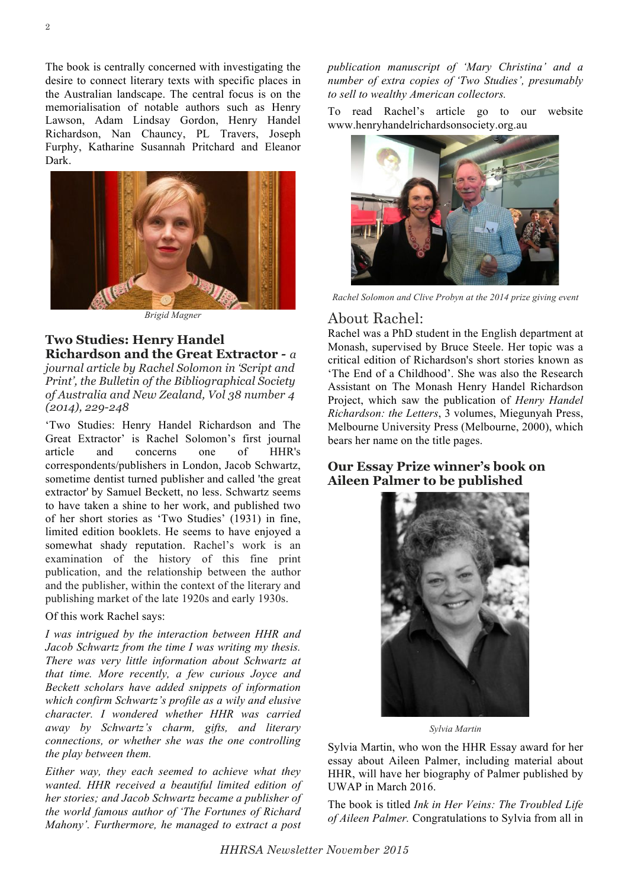The book is centrally concerned with investigating the desire to connect literary texts with specific places in the Australian landscape. The central focus is on the memorialisation of notable authors such as Henry Lawson, Adam Lindsay Gordon, Henry Handel Richardson, Nan Chauncy, PL Travers, Joseph Furphy, Katharine Susannah Pritchard and Eleanor Dark.



*Brigid Magner*

#### **Two Studies: Henry Handel Richardson and the Great Extractor** *- a*

*journal article by Rachel Solomon in 'Script and Print', the Bulletin of the Bibliographical Society of Australia and New Zealand, Vol 38 number 4 (2014), 229-248*

'Two Studies: Henry Handel Richardson and The Great Extractor' is Rachel Solomon's first journal article and concerns one of HHR's correspondents/publishers in London, Jacob Schwartz, sometime dentist turned publisher and called 'the great extractor' by Samuel Beckett, no less. Schwartz seems to have taken a shine to her work, and published two of her short stories as 'Two Studies' (1931) in fine, limited edition booklets. He seems to have enjoyed a somewhat shady reputation. Rachel's work is an examination of the history of this fine print publication, and the relationship between the author and the publisher, within the context of the literary and publishing market of the late 1920s and early 1930s.

Of this work Rachel says:

*I was intrigued by the interaction between HHR and Jacob Schwartz from the time I was writing my thesis. There was very little information about Schwartz at that time. More recently, a few curious Joyce and Beckett scholars have added snippets of information which confirm Schwartz's profile as a wily and elusive character. I wondered whether HHR was carried away by Schwartz's charm, gifts, and literary connections, or whether she was the one controlling the play between them.* 

*Either way, they each seemed to achieve what they wanted. HHR received a beautiful limited edition of her stories; and Jacob Schwartz became a publisher of the world famous author of 'The Fortunes of Richard Mahony'. Furthermore, he managed to extract a post* 

*publication manuscript of 'Mary Christina' and a number of extra copies of 'Two Studies', presumably to sell to wealthy American collectors.*

To read Rachel's article go to our website www.henryhandelrichardsonsociety.org.au



*Rachel Solomon and Clive Probyn at the 2014 prize giving event*

### About Rachel:

Rachel was a PhD student in the English department at Monash, supervised by Bruce Steele. Her topic was a critical edition of Richardson's short stories known as 'The End of a Childhood'. She was also the Research Assistant on The Monash Henry Handel Richardson Project, which saw the publication of *Henry Handel Richardson: the Letters*, 3 volumes, Miegunyah Press, Melbourne University Press (Melbourne, 2000), which bears her name on the title pages.

#### **Our Essay Prize winner's book on Aileen Palmer to be published**



*Sylvia Martin*

Sylvia Martin, who won the HHR Essay award for her essay about Aileen Palmer, including material about HHR, will have her biography of Palmer published by UWAP in March 2016.

The book is titled *Ink in Her Veins: The Troubled Life of Aileen Palmer.* Congratulations to Sylvia from all in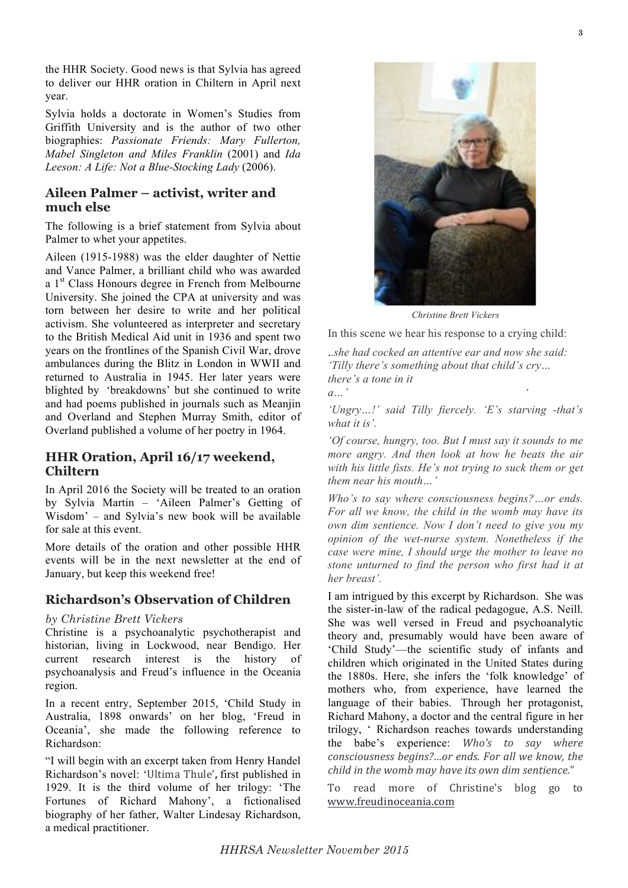the HHR Society. Good news is that Sylvia has agreed to deliver our HHR oration in Chiltern in April next year.

Sylvia holds a doctorate in Women's Studies from Griffith University and is the author of two other biographies: *Passionate Friends: Mary Fullerton, Mabel Singleton and Miles Franklin* (2001) and *Ida Leeson: A Life: Not a Blue-Stocking Lady* (2006).

#### **Aileen Palmer – activist, writer and much else**

The following is a brief statement from Sylvia about Palmer to whet your appetites.

Aileen (1915-1988) was the elder daughter of Nettie and Vance Palmer, a brilliant child who was awarded a 1<sup>st</sup> Class Honours degree in French from Melbourne University. She joined the CPA at university and was torn between her desire to write and her political activism. She volunteered as interpreter and secretary to the British Medical Aid unit in 1936 and spent two years on the frontlines of the Spanish Civil War, drove ambulances during the Blitz in London in WWII and returned to Australia in 1945. Her later years were blighted by 'breakdowns' but she continued to write and had poems published in journals such as Meanjin and Overland and Stephen Murray Smith, editor of Overland published a volume of her poetry in 1964.

#### **HHR Oration, April 16/17 weekend, Chiltern**

In April 2016 the Society will be treated to an oration by Sylvia Martin – 'Aileen Palmer's Getting of Wisdom' – and Sylvia's new book will be available for sale at this event.

More details of the oration and other possible HHR events will be in the next newsletter at the end of January, but keep this weekend free!

### **Richardson's Observation of Children**

#### *by Christine Brett Vickers*

Christine is a psychoanalytic psychotherapist and historian, living in Lockwood, near Bendigo. Her current research interest is the history of psychoanalysis and Freud's influence in the Oceania region.

In a recent entry, September 2015, 'Child Study in Australia, 1898 onwards' on her blog, 'Freud in Oceania', she made the following reference to Richardson:

"I will begin with an excerpt taken from Henry Handel Richardson's novel: 'Ultima'Thule'**,** first published in 1929. It is the third volume of her trilogy: 'The Fortunes of Richard Mahony', a fictionalised biography of her father, Walter Lindesay Richardson, a medical practitioner.



*Christine Brett Vickers*

In this scene we hear his response to a crying child:

.*.she had cocked an attentive ear and now she said: 'Tilly there's something about that child's cry… there's a tone in it a…' '*

*'Ungry…!' said Tilly fiercely. 'E's starving -that's what it is'.* 

*'Of course, hungry, too. But I must say it sounds to me more angry. And then look at how he beats the air with his little fists. He's not trying to suck them or get them near his mouth…'*

*Who's to say where consciousness begins?…or ends. For all we know, the child in the womb may have its own dim sentience. Now I don't need to give you my opinion of the wet-nurse system. Nonetheless if the case were mine, I should urge the mother to leave no stone unturned to find the person who first had it at her breast'.*

I am intrigued by this excerpt by Richardson. She was the sister-in-law of the radical pedagogue, A.S. Neill. She was well versed in Freud and psychoanalytic theory and, presumably would have been aware of 'Child Study'—the scientific study of infants and children which originated in the United States during the 1880s. Here, she infers the 'folk knowledge' of mothers who, from experience, have learned the language of their babies. Through her protagonist, Richard Mahony, a doctor and the central figure in her trilogy, ' Richardson reaches towards understanding the babe's experience: *Who's to say where consciousness&begins?…or&ends.&For&all&we&know,&the& child in the womb may have its own dim sentience."* 

To read more of Christine's blog go to www.freudinoceania.com